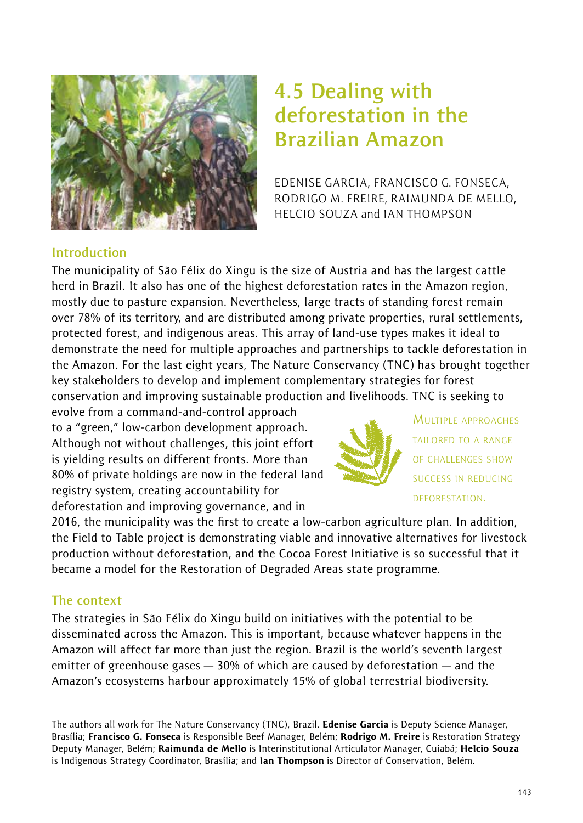

# **4.5 Dealing with deforestation in the Brazilian Amazon**

EDENISE GARCIA, FRANCISCO G. FONSECA, RODRIGO M. FREIRE, RAIMUNDA DE MELLO, HELCIO SOUZA and IAN THOMPSON

#### **Introduction**

The municipality of São Félix do Xingu is the size of Austria and has the largest cattle herd in Brazil. It also has one of the highest deforestation rates in the Amazon region, mostly due to pasture expansion. Nevertheless, large tracts of standing forest remain over 78% of its territory, and are distributed among private properties, rural settlements, protected forest, and indigenous areas. This array of land-use types makes it ideal to demonstrate the need for multiple approaches and partnerships to tackle deforestation in the Amazon. For the last eight years, The Nature Conservancy (TNC) has brought together key stakeholders to develop and implement complementary strategies for forest conservation and improving sustainable production and livelihoods. TNC is seeking to

evolve from a command-and-control approach to a "green," low-carbon development approach. Although not without challenges, this joint effort is yielding results on different fronts. More than 80% of private holdings are now in the federal land registry system, creating accountability for deforestation and improving governance, and in



MULTIPLE APPROACHES TAILORED TO A RANGE OF CHALLENGES SHOW SUCCESS IN REDUCING DEFORESTATION.

2016, the municipality was the first to create a low-carbon agriculture plan. In addition, the Field to Table project is demonstrating viable and innovative alternatives for livestock production without deforestation, and the Cocoa Forest Initiative is so successful that it became a model for the Restoration of Degraded Areas state programme.

## **The context**

The strategies in São Félix do Xingu build on initiatives with the potential to be disseminated across the Amazon. This is important, because whatever happens in the Amazon will affect far more than just the region. Brazil is the world's seventh largest emitter of greenhouse gases  $-30%$  of which are caused by deforestation  $-$  and the Amazon's ecosystems harbour approximately 15% of global terrestrial biodiversity.

The authors all work for The Nature Conservancy (TNC), Brazil. Edenise Garcia is Deputy Science Manager, Brasília; Francisco G. Fonseca is Responsible Beef Manager, Belém; Rodrigo M. Freire is Restoration Strategy Deputy Manager, Belém: Raimunda de Mello is Interinstitutional Articulator Manager, Cuiabá; Helcio Souza is Indigenous Strategy Coordinator, Brasília; and lan Thompson is Director of Conservation, Belém.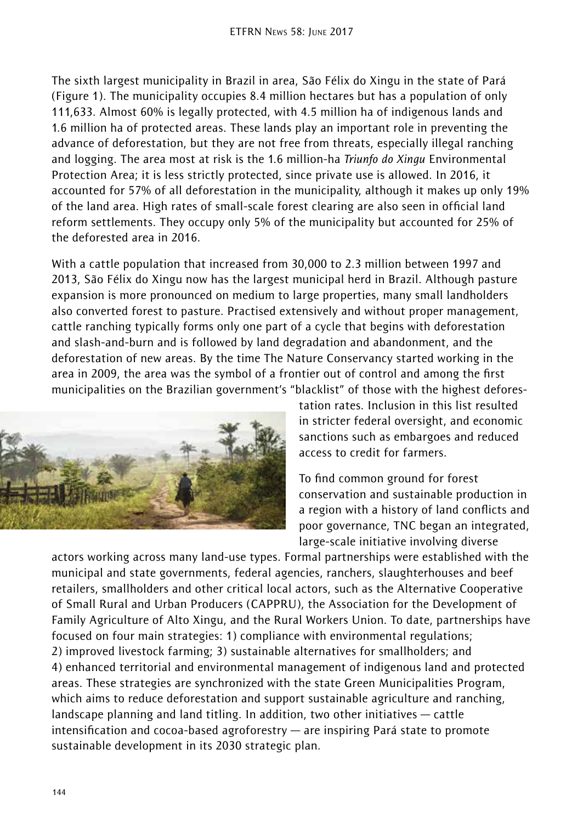The sixth largest municipality in Brazil in area, São Félix do Xingu in the state of Pará (Figure 1). The municipality occupies 8.4 million hectares but has a population of only 111,633. Almost 60% is legally protected, with 4.5 million ha of indigenous lands and 1.6 million ha of protected areas. These lands play an important role in preventing the advance of deforestation, but they are not free from threats, especially illegal ranching and logging. The area most at risk is the 1.6 million-ha *Triunfo do Xingu* Environmental Protection Area; it is less strictly protected, since private use is allowed. In 2016, it accounted for 57% of all deforestation in the municipality, although it makes up only 19% of the land area. High rates of small-scale forest clearing are also seen in official land reform settlements. They occupy only 5% of the municipality but accounted for 25% of the deforested area in 2016.

With a cattle population that increased from 30,000 to 2.3 million between 1997 and 2013, São Félix do Xingu now has the largest municipal herd in Brazil. Although pasture expansion is more pronounced on medium to large properties, many small landholders also converted forest to pasture. Practised extensively and without proper management, cattle ranching typically forms only one part of a cycle that begins with deforestation and slash-and-burn and is followed by land degradation and abandonment, and the deforestation of new areas. By the time The Nature Conservancy started working in the area in 2009, the area was the symbol of a frontier out of control and among the first municipalities on the Brazilian government's "blacklist" of those with the highest defores-



tation rates. Inclusion in this list resulted in stricter federal oversight, and economic sanctions such as embargoes and reduced access to credit for farmers.

To find common ground for forest conservation and sustainable production in a region with a history of land conflicts and poor governance, TNC began an integrated, large-scale initiative involving diverse

actors working across many land-use types. Formal partnerships were established with the municipal and state governments, federal agencies, ranchers, slaughterhouses and beef retailers, smallholders and other critical local actors, such as the Alternative Cooperative of Small Rural and Urban Producers (CAPPRU), the Association for the Development of Family Agriculture of Alto Xingu, and the Rural Workers Union. To date, partnerships have focused on four main strategies: 1) compliance with environmental regulations; 2) improved livestock farming; 3) sustainable alternatives for smallholders; and 4) enhanced territorial and environmental management of indigenous land and protected areas. These strategies are synchronized with the state Green Municipalities Program, which aims to reduce deforestation and support sustainable agriculture and ranching, landscape planning and land titling. In addition, two other initiatives — cattle intensification and cocoa-based agroforestry — are inspiring Pará state to promote sustainable development in its 2030 strategic plan.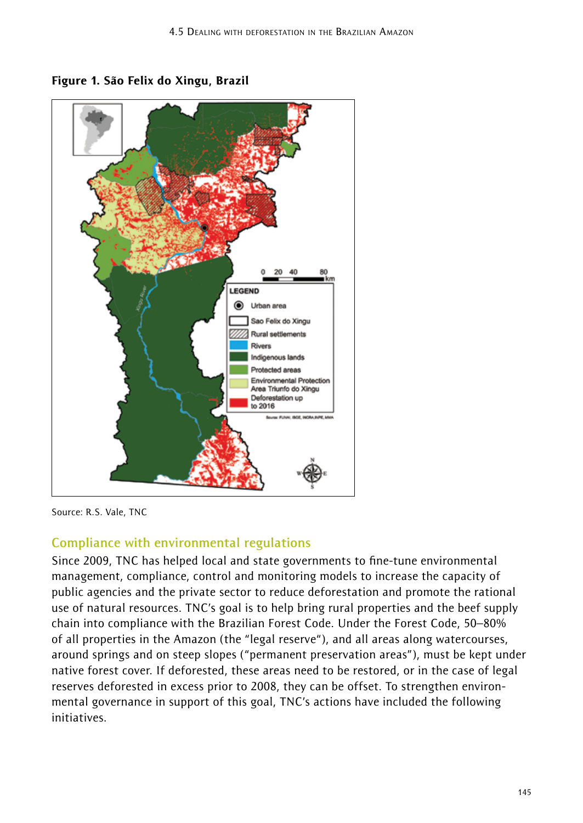



Source: R.S. Vale, TNC

## **Compliance with environmental regulations**

Since 2009, TNC has helped local and state governments to fine-tune environmental management, compliance, control and monitoring models to increase the capacity of public agencies and the private sector to reduce deforestation and promote the rational use of natural resources. TNC's goal is to help bring rural properties and the beef supply chain into compliance with the Brazilian Forest Code. Under the Forest Code, 50–80% of all properties in the Amazon (the "legal reserve"), and all areas along watercourses, around springs and on steep slopes ("permanent preservation areas"), must be kept under native forest cover. If deforested, these areas need to be restored, or in the case of legal reserves deforested in excess prior to 2008, they can be offset. To strengthen environmental governance in support of this goal, TNC's actions have included the following initiatives.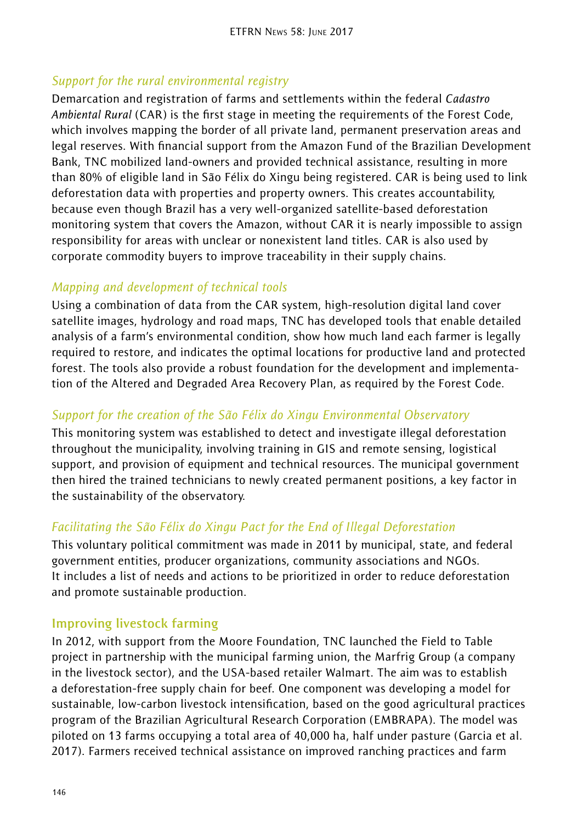# *Support for the rural environmental registry*

Demarcation and registration of farms and settlements within the federal *Cadastro Ambiental Rural* (CAR) is the first stage in meeting the requirements of the Forest Code, which involves mapping the border of all private land, permanent preservation areas and legal reserves. With financial support from the Amazon Fund of the Brazilian Development Bank, TNC mobilized land-owners and provided technical assistance, resulting in more than 80% of eligible land in São Félix do Xingu being registered. CAR is being used to link deforestation data with properties and property owners. This creates accountability, because even though Brazil has a very well-organized satellite-based deforestation monitoring system that covers the Amazon, without CAR it is nearly impossible to assign responsibility for areas with unclear or nonexistent land titles. CAR is also used by corporate commodity buyers to improve traceability in their supply chains.

## *Mapping and development of technical tools*

Using a combination of data from the CAR system, high-resolution digital land cover satellite images, hydrology and road maps, TNC has developed tools that enable detailed analysis of a farm's environmental condition, show how much land each farmer is legally required to restore, and indicates the optimal locations for productive land and protected forest. The tools also provide a robust foundation for the development and implementation of the Altered and Degraded Area Recovery Plan, as required by the Forest Code.

## *Support for the creation of the São Félix do Xingu Environmental Observatory*

This monitoring system was established to detect and investigate illegal deforestation throughout the municipality, involving training in GIS and remote sensing, logistical support, and provision of equipment and technical resources. The municipal government then hired the trained technicians to newly created permanent positions, a key factor in the sustainability of the observatory.

# *Facilitating the São Félix do Xingu Pact for the End of Illegal Deforestation*

This voluntary political commitment was made in 2011 by municipal, state, and federal government entities, producer organizations, community associations and NGOs. It includes a list of needs and actions to be prioritized in order to reduce deforestation and promote sustainable production.

## **Improving livestock farming**

In 2012, with support from the Moore Foundation, TNC launched the Field to Table project in partnership with the municipal farming union, the Marfrig Group (a company in the livestock sector), and the USA-based retailer Walmart. The aim was to establish a deforestation-free supply chain for beef. One component was developing a model for sustainable, low-carbon livestock intensification, based on the good agricultural practices program of the Brazilian Agricultural Research Corporation (EMBRAPA). The model was piloted on 13 farms occupying a total area of 40,000 ha, half under pasture (Garcia et al. 2017). Farmers received technical assistance on improved ranching practices and farm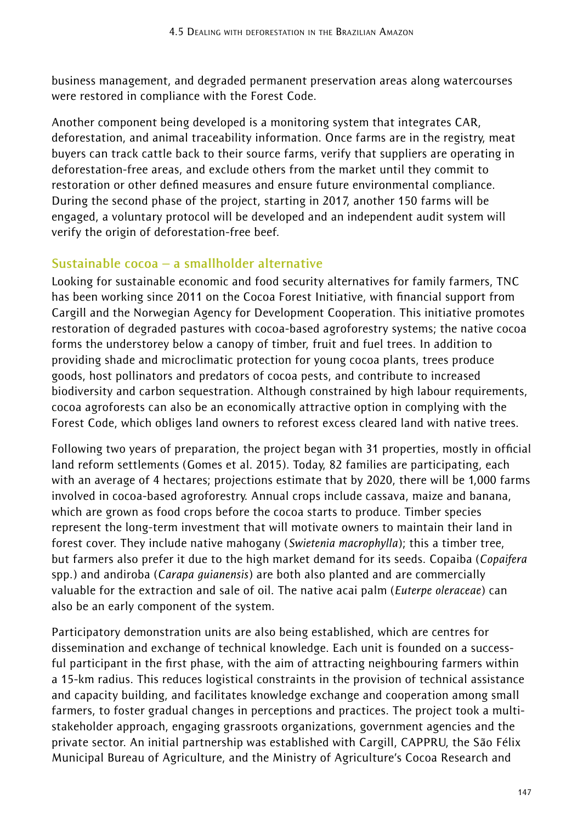business management, and degraded permanent preservation areas along watercourses were restored in compliance with the Forest Code.

Another component being developed is a monitoring system that integrates CAR, deforestation, and animal traceability information. Once farms are in the registry, meat buyers can track cattle back to their source farms, verify that suppliers are operating in deforestation-free areas, and exclude others from the market until they commit to restoration or other defined measures and ensure future environmental compliance. During the second phase of the project, starting in 2017, another 150 farms will be engaged, a voluntary protocol will be developed and an independent audit system will verify the origin of deforestation-free beef.

#### **Sustainable cocoa – a smallholder alternative**

Looking for sustainable economic and food security alternatives for family farmers, TNC has been working since 2011 on the Cocoa Forest Initiative, with financial support from Cargill and the Norwegian Agency for Development Cooperation. This initiative promotes restoration of degraded pastures with cocoa-based agroforestry systems; the native cocoa forms the understorey below a canopy of timber, fruit and fuel trees. In addition to providing shade and microclimatic protection for young cocoa plants, trees produce goods, host pollinators and predators of cocoa pests, and contribute to increased biodiversity and carbon sequestration. Although constrained by high labour requirements, cocoa agroforests can also be an economically attractive option in complying with the Forest Code, which obliges land owners to reforest excess cleared land with native trees.

Following two years of preparation, the project began with 31 properties, mostly in official land reform settlements (Gomes et al. 2015). Today, 82 families are participating, each with an average of 4 hectares; projections estimate that by 2020, there will be 1,000 farms involved in cocoa-based agroforestry. Annual crops include cassava, maize and banana, which are grown as food crops before the cocoa starts to produce. Timber species represent the long-term investment that will motivate owners to maintain their land in forest cover. They include native mahogany (*Swietenia macrophylla*); this a timber tree, but farmers also prefer it due to the high market demand for its seeds. Copaiba (*Copaifera* spp.) and andiroba (*Carapa guianensis*) are both also planted and are commercially valuable for the extraction and sale of oil. The native acai palm (*Euterpe oleraceae*) can also be an early component of the system.

Participatory demonstration units are also being established, which are centres for dissemination and exchange of technical knowledge. Each unit is founded on a successful participant in the first phase, with the aim of attracting neighbouring farmers within a 15-km radius. This reduces logistical constraints in the provision of technical assistance and capacity building, and facilitates knowledge exchange and cooperation among small farmers, to foster gradual changes in perceptions and practices. The project took a multistakeholder approach, engaging grassroots organizations, government agencies and the private sector. An initial partnership was established with Cargill, CAPPRU, the São Félix Municipal Bureau of Agriculture, and the Ministry of Agriculture's Cocoa Research and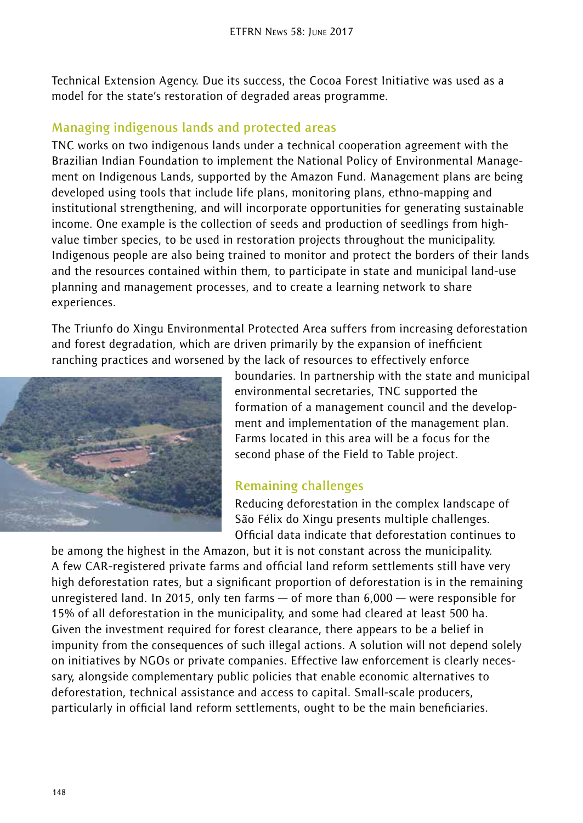Technical Extension Agency. Due its success, the Cocoa Forest Initiative was used as a model for the state's restoration of degraded areas programme.

## **Managing indigenous lands and protected areas**

TNC works on two indigenous lands under a technical cooperation agreement with the Brazilian Indian Foundation to implement the National Policy of Environmental Management on Indigenous Lands, supported by the Amazon Fund. Management plans are being developed using tools that include life plans, monitoring plans, ethno-mapping and institutional strengthening, and will incorporate opportunities for generating sustainable income. One example is the collection of seeds and production of seedlings from highvalue timber species, to be used in restoration projects throughout the municipality. Indigenous people are also being trained to monitor and protect the borders of their lands and the resources contained within them, to participate in state and municipal land-use planning and management processes, and to create a learning network to share experiences.

The Triunfo do Xingu Environmental Protected Area suffers from increasing deforestation and forest degradation, which are driven primarily by the expansion of inefficient ranching practices and worsened by the lack of resources to effectively enforce



boundaries. In partnership with the state and municipal environmental secretaries, TNC supported the formation of a management council and the development and implementation of the management plan. Farms located in this area will be a focus for the second phase of the Field to Table project.

## **Remaining challenges**

Reducing deforestation in the complex landscape of São Félix do Xingu presents multiple challenges. Official data indicate that deforestation continues to

be among the highest in the Amazon, but it is not constant across the municipality. A few CAR-registered private farms and official land reform settlements still have very high deforestation rates, but a significant proportion of deforestation is in the remaining unregistered land. In 2015, only ten farms — of more than 6,000 — were responsible for 15% of all deforestation in the municipality, and some had cleared at least 500 ha. Given the investment required for forest clearance, there appears to be a belief in impunity from the consequences of such illegal actions. A solution will not depend solely on initiatives by NGOs or private companies. Effective law enforcement is clearly necessary, alongside complementary public policies that enable economic alternatives to deforestation, technical assistance and access to capital. Small-scale producers, particularly in official land reform settlements, ought to be the main beneficiaries.